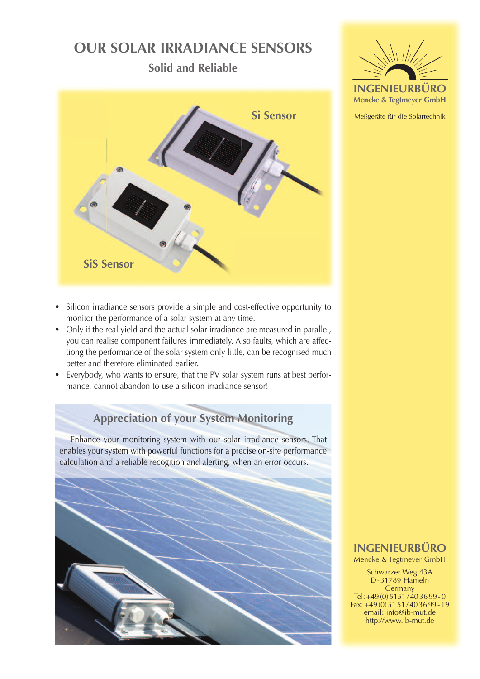# **our SolAr IrrAdIAnce SenSorS**

**Solid and reliable**



- Silicon irradiance sensors provide a simple and cost-effective opportunity to monitor the performance of a solar system at any time.
- Only if the real yield and the actual solar irradiance are measured in parallel, you can realise component failures immediately. Also faults, which are affectiong the performance of the solar system only little, can be recognised much better and therefore eliminated earlier.
- Everybody, who wants to ensure, that the PV solar system runs at best performance, cannot abandon to use a silicon irradiance sensor!

# **Appreciation of your System Monitoring**

Enhance your monitoring system with our solar irradiance sensors. That enables your system with powerful functions for a precise on-site performance calculation and a reliable recogition and alerting, when an error occurs.





Meßgeräte für die Solartechnik

# **IngenIeurbüro**

Mencke & Tegtmeyer GmbH

Schwarzer Weg 43A D-31789 Hameln **Germany** Tel: +49 (0)  $5151 / 403699 - 0$ Fax: +49 (0) 51 51 / 40 36 99 - 19 email: info@ib-mut.de http://www.ib-mut.de